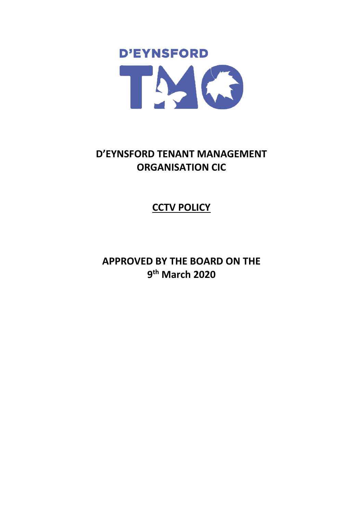

# **D'EYNSFORD TENANT MANAGEMENT ORGANISATION CIC**

# **CCTV POLICY**

**APPROVED BY THE BOARD ON THE 9 th March 2020**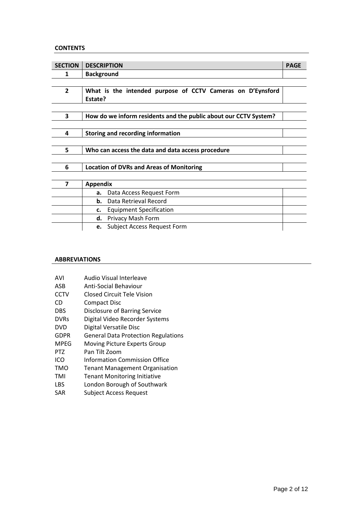## **CONTENTS**

| <b>SECTION</b> | <b>DESCRIPTION</b>                                               | <b>PAGE</b> |
|----------------|------------------------------------------------------------------|-------------|
| 1              | <b>Background</b>                                                |             |
|                |                                                                  |             |
| $\overline{2}$ | What is the intended purpose of CCTV Cameras on D'Eynsford       |             |
|                | Estate?                                                          |             |
|                |                                                                  |             |
| 3              | How do we inform residents and the public about our CCTV System? |             |
|                |                                                                  |             |
| 4              | <b>Storing and recording information</b>                         |             |
|                |                                                                  |             |
| 5              | Who can access the data and data access procedure                |             |
|                |                                                                  |             |
| 6              | <b>Location of DVRs and Areas of Monitoring</b>                  |             |
|                |                                                                  |             |
| 7              | <b>Appendix</b>                                                  |             |
|                | Data Access Request Form<br>a.                                   |             |
|                | Data Retrieval Record<br>b.                                      |             |
|                | <b>Equipment Specification</b><br>c.                             |             |
|                | Privacy Mash Form<br>d.                                          |             |
|                | Subject Access Request Form<br>e.                                |             |

## **ABBREVIATIONS**

| AVI         | Audio Visual Interleave                    |
|-------------|--------------------------------------------|
| ASB         | Anti-Social Behaviour                      |
| <b>CCTV</b> | <b>Closed Circuit Tele Vision</b>          |
| CD          | Compact Disc                               |
| <b>DBS</b>  | Disclosure of Barring Service              |
| <b>DVRs</b> | Digital Video Recorder Systems             |
| <b>DVD</b>  | Digital Versatile Disc                     |
| <b>GDPR</b> | <b>General Data Protection Regulations</b> |
| <b>MPEG</b> | Moving Picture Experts Group               |
| PTZ         | Pan Tilt Zoom                              |
| ICO         | Information Commission Office              |
| TMO         | <b>Tenant Management Organisation</b>      |
| TMI         | <b>Tenant Monitoring Initiative</b>        |
| <b>LBS</b>  | London Borough of Southwark                |
| SAR         | <b>Subject Access Request</b>              |
|             |                                            |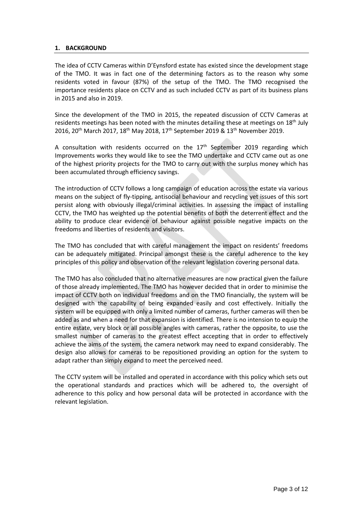## **1. BACKGROUND**

The idea of CCTV Cameras within D'Eynsford estate has existed since the development stage of the TMO. It was in fact one of the determining factors as to the reason why some residents voted in favour (87%) of the setup of the TMO. The TMO recognised the importance residents place on CCTV and as such included CCTV as part of its business plans in 2015 and also in 2019.

Since the development of the TMO in 2015, the repeated discussion of CCTV Cameras at residents meetings has been noted with the minutes detailing these at meetings on 18<sup>th</sup> July 2016, 20<sup>th</sup> March 2017, 18<sup>th</sup> May 2018, 17<sup>th</sup> September 2019 & 13<sup>th</sup> November 2019.

A consultation with residents occurred on the  $17<sup>th</sup>$  September 2019 regarding which Improvements works they would like to see the TMO undertake and CCTV came out as one of the highest priority projects for the TMO to carry out with the surplus money which has been accumulated through efficiency savings.

The introduction of CCTV follows a long campaign of education across the estate via various means on the subject of fly-tipping, antisocial behaviour and recycling yet issues of this sort persist along with obviously illegal/criminal activities. In assessing the impact of installing CCTV, the TMO has weighted up the potential benefits of both the deterrent effect and the ability to produce clear evidence of behaviour against possible negative impacts on the freedoms and liberties of residents and visitors.

The TMO has concluded that with careful management the impact on residents' freedoms can be adequately mitigated. Principal amongst these is the careful adherence to the key principles of this policy and observation of the relevant legislation covering personal data.

The TMO has also concluded that no alternative measures are now practical given the failure of those already implemented. The TMO has however decided that in order to minimise the impact of CCTV both on individual freedoms and on the TMO financially, the system will be designed with the capability of being expanded easily and cost effectively. Initially the system will be equipped with only a limited number of cameras, further cameras will then be added as and when a need for that expansion is identified. There is no intension to equip the entire estate, very block or all possible angles with cameras, rather the opposite, to use the smallest number of cameras to the greatest effect accepting that in order to effectively achieve the aims of the system, the camera network may need to expand considerably. The design also allows for cameras to be repositioned providing an option for the system to adapt rather than simply expand to meet the perceived need.

The CCTV system will be installed and operated in accordance with this policy which sets out the operational standards and practices which will be adhered to, the oversight of adherence to this policy and how personal data will be protected in accordance with the relevant legislation.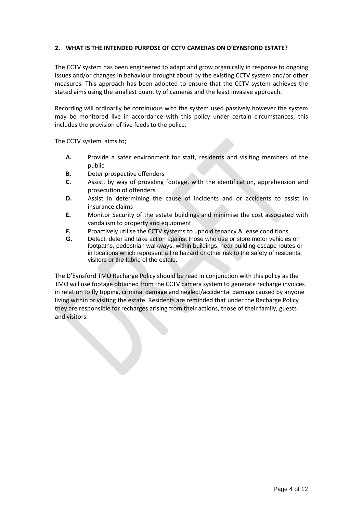## **2. WHAT IS THE INTENDED PURPOSE OF CCTV CAMERAS ON D'EYNSFORD ESTATE?**

The CCTV system has been engineered to adapt and grow organically in response to ongoing issues and/or changes in behaviour brought about by the existing CCTV system and/or other measures. This approach has been adopted to ensure that the CCTV system achieves the stated aims using the smallest quantity of cameras and the least invasive approach.

Recording will ordinarily be continuous with the system used passively however the system may be monitored live in accordance with this policy under certain circumstances; this includes the provision of live feeds to the police.

The CCTV system aims to;

- **A.** Provide a safer environment for staff, residents and visiting members of the public
- **B.** Deter prospective offenders
- **C.** Assist, by way of providing footage, with the identification, apprehension and prosecution of offenders
- **D.** Assist in determining the cause of incidents and or accidents to assist in insurance claims
- **E.** Monitor Security of the estate buildings and minimise the cost associated with vandalism to property and equipment
- **F.** Proactively utilise the CCTV systems to uphold tenancy & lease conditions
- **G.** Detect, deter and take action against those who use or store motor vehicles on footpaths, pedestrian walkways, within buildings, near building escape routes or in locations which represent a fire hazard or other risk to the safety of residents, visitors or the fabric of the estate.

The D'Eynsford TMO Recharge Policy should be read in conjunction with this policy as the TMO will use footage obtained from the CCTV camera system to generate recharge invoices in relation to fly tipping, criminal damage and neglect/accidental damage caused by anyone living within or visiting the estate. Residents are reminded that under the Recharge Policy they are responsible for recharges arising from their actions, those of their family, guests and visitors.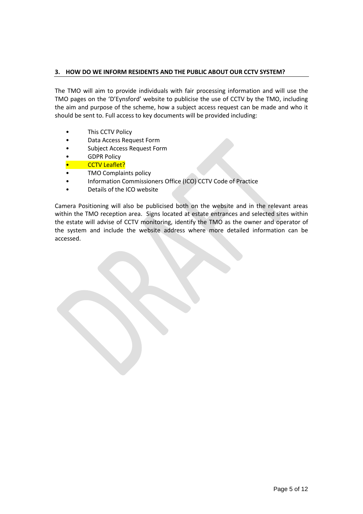## **3. HOW DO WE INFORM RESIDENTS AND THE PUBLIC ABOUT OUR CCTV SYSTEM?**

The TMO will aim to provide individuals with fair processing information and will use the TMO pages on the 'D'Eynsford' website to publicise the use of CCTV by the TMO, including the aim and purpose of the scheme, how a subject access request can be made and who it should be sent to. Full access to key documents will be provided including:

- This CCTV Policy
- Data Access Request Form
- Subject Access Request Form
- **GDPR Policy**
- CCTV Leaflet?
- TMO Complaints policy
- Information Commissioners Office (ICO) CCTV Code of Practice
- Details of the ICO website

Camera Positioning will also be publicised both on the website and in the relevant areas within the TMO reception area. Signs located at estate entrances and selected sites within the estate will advise of CCTV monitoring, identify the TMO as the owner and operator of the system and include the website address where more detailed information can be accessed.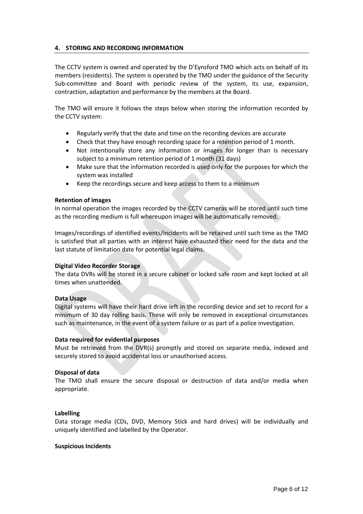## **4. STORING AND RECORDING INFORMATION**

The CCTV system is owned and operated by the D'Eynsford TMO which acts on behalf of its members (residents). The system is operated by the TMO under the guidance of the Security Sub-committee and Board with periodic review of the system, its use, expansion, contraction, adaptation and performance by the members at the Board.

The TMO will ensure it follows the steps below when storing the information recorded by the CCTV system:

- Regularly verify that the date and time on the recording devices are accurate
- Check that they have enough recording space for a retention period of 1 month.
- Not intentionally store any information or images for longer than is necessary subject to a minimum retention period of 1 month (31 days)
- Make sure that the information recorded is used only for the purposes for which the system was installed
- Keep the recordings secure and keep access to them to a minimum

#### **Retention of images**

In normal operation the images recorded by the CCTV cameras will be stored until such time as the recording medium is full whereupon images will be automatically removed.

Images/recordings of identified events/incidents will be retained until such time as the TMO is satisfied that all parties with an interest have exhausted their need for the data and the last statute of limitation date for potential legal claims.

#### **Digital Video Recorder Storage**

The data DVRs will be stored in a secure cabinet or locked safe room and kept locked at all times when unattended.

#### **Data Usage**

Digital systems will have their hard drive left in the recording device and set to record for a minimum of 30 day rolling basis. These will only be removed in exceptional circumstances such as maintenance, in the event of a system failure or as part of a police investigation.

#### **Data required for evidential purposes**

Must be retrieved from the DVR(s) promptly and stored on separate media, indexed and securely stored to avoid accidental loss or unauthorised access.

#### **Disposal of data**

The TMO shall ensure the secure disposal or destruction of data and/or media when appropriate.

#### **Labelling**

Data storage media (CDs, DVD, Memory Stick and hard drives) will be individually and uniquely identified and labelled by the Operator.

#### **Suspicious Incidents**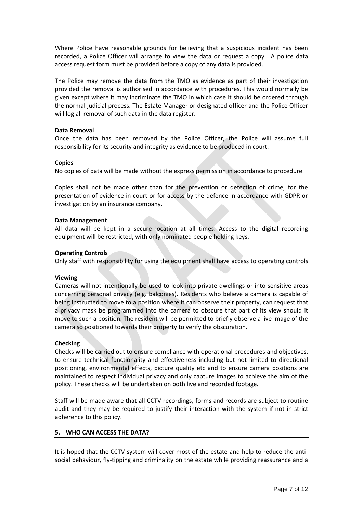Where Police have reasonable grounds for believing that a suspicious incident has been recorded, a Police Officer will arrange to view the data or request a copy. A police data access request form must be provided before a copy of any data is provided.

The Police may remove the data from the TMO as evidence as part of their investigation provided the removal is authorised in accordance with procedures. This would normally be given except where it may incriminate the TMO in which case it should be ordered through the normal judicial process. The Estate Manager or designated officer and the Police Officer will log all removal of such data in the data register.

## **Data Removal**

Once the data has been removed by the Police Officer, the Police will assume full responsibility for its security and integrity as evidence to be produced in court.

## **Copies**

No copies of data will be made without the express permission in accordance to procedure.

Copies shall not be made other than for the prevention or detection of crime, for the presentation of evidence in court or for access by the defence in accordance with GDPR or investigation by an insurance company.

## **Data Management**

All data will be kept in a secure location at all times. Access to the digital recording equipment will be restricted, with only nominated people holding keys.

## **Operating Controls**

Only staff with responsibility for using the equipment shall have access to operating controls.

## **Viewing**

Cameras will not intentionally be used to look into private dwellings or into sensitive areas concerning personal privacy (e.g. balconies). Residents who believe a camera is capable of being instructed to move to a position where it can observe their property, can request that a privacy mask be programmed into the camera to obscure that part of its view should it move to such a position. The resident will be permitted to briefly observe a live image of the camera so positioned towards their property to verify the obscuration.

#### **Checking**

Checks will be carried out to ensure compliance with operational procedures and objectives, to ensure technical functionality and effectiveness including but not limited to directional positioning, environmental effects, picture quality etc and to ensure camera positions are maintained to respect individual privacy and only capture images to achieve the aim of the policy. These checks will be undertaken on both live and recorded footage.

Staff will be made aware that all CCTV recordings, forms and records are subject to routine audit and they may be required to justify their interaction with the system if not in strict adherence to this policy.

## **5. WHO CAN ACCESS THE DATA?**

It is hoped that the CCTV system will cover most of the estate and help to reduce the antisocial behaviour, fly-tipping and criminality on the estate while providing reassurance and a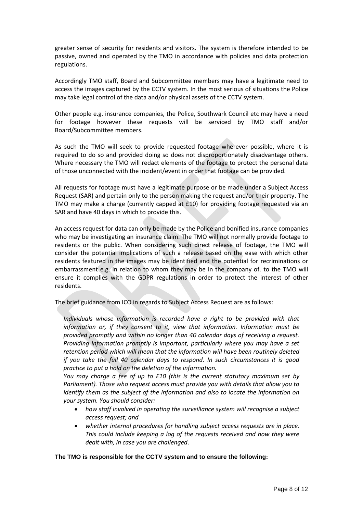greater sense of security for residents and visitors. The system is therefore intended to be passive, owned and operated by the TMO in accordance with policies and data protection regulations.

Accordingly TMO staff, Board and Subcommittee members may have a legitimate need to access the images captured by the CCTV system. In the most serious of situations the Police may take legal control of the data and/or physical assets of the CCTV system.

Other people e.g. insurance companies, the Police, Southwark Council etc may have a need for footage however these requests will be serviced by TMO staff and/or Board/Subcommittee members.

As such the TMO will seek to provide requested footage wherever possible, where it is required to do so and provided doing so does not disproportionately disadvantage others. Where necessary the TMO will redact elements of the footage to protect the personal data of those unconnected with the incident/event in order that footage can be provided.

All requests for footage must have a legitimate purpose or be made under a Subject Access Request (SAR) and pertain only to the person making the request and/or their property. The TMO may make a charge (currently capped at £10) for providing footage requested via an SAR and have 40 days in which to provide this.

An access request for data can only be made by the Police and bonified insurance companies who may be investigating an insurance claim. The TMO will not normally provide footage to residents or the public. When considering such direct release of footage, the TMO will consider the potential implications of such a release based on the ease with which other residents featured in the images may be identified and the potential for recriminations or embarrassment e.g. in relation to whom they may be in the company of. to the TMO will ensure it complies with the GDPR regulations in order to protect the interest of other residents.

The brief guidance from ICO in regards to Subject Access Request are as follows:

*Individuals whose information is recorded have a right to be provided with that information or, if they consent to it, view that information. Information must be provided promptly and within no longer than 40 calendar days of receiving a request. Providing information promptly is important, particularly where you may have a set retention period which will mean that the information will have been routinely deleted if you take the full 40 calendar days to respond. In such circumstances it is good practice to put a hold on the deletion of the information.*

*You may charge a fee of up to £10 (this is the current statutory maximum set by Parliament). Those who request access must provide you with details that allow you to identify them as the subject of the information and also to locate the information on your system. You should consider:*

- *how staff involved in operating the surveillance system will recognise a subject access request; and*
- *whether internal procedures for handling subject access requests are in place. This could include keeping a log of the requests received and how they were dealt with, in case you are challenged*.

## **The TMO is responsible for the CCTV system and to ensure the following:**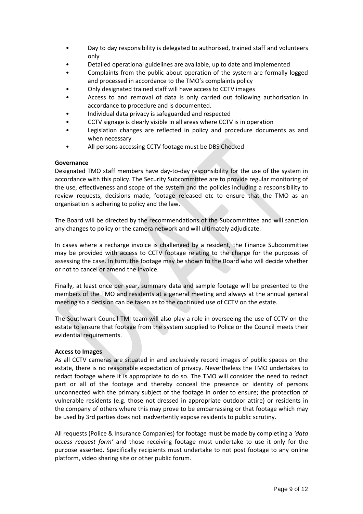- Day to day responsibility is delegated to authorised, trained staff and volunteers only
- Detailed operational guidelines are available, up to date and implemented
- Complaints from the public about operation of the system are formally logged and processed in accordance to the TMO's complaints policy
- Only designated trained staff will have access to CCTV images
- Access to and removal of data is only carried out following authorisation in accordance to procedure and is documented.
- Individual data privacy is safeguarded and respected
- CCTV signage is clearly visible in all areas where CCTV is in operation
- Legislation changes are reflected in policy and procedure documents as and when necessary
- All persons accessing CCTV footage must be DBS Checked

## **Governance**

Designated TMO staff members have day-to-day responsibility for the use of the system in accordance with this policy. The Security Subcommittee are to provide regular monitoring of the use, effectiveness and scope of the system and the policies including a responsibility to review requests, decisions made, footage released etc to ensure that the TMO as an organisation is adhering to policy and the law.

The Board will be directed by the recommendations of the Subcommittee and will sanction any changes to policy or the camera network and will ultimately adjudicate.

In cases where a recharge invoice is challenged by a resident, the Finance Subcommittee may be provided with access to CCTV footage relating to the charge for the purposes of assessing the case. In turn, the footage may be shown to the Board who will decide whether or not to cancel or amend the invoice.

Finally, at least once per year, summary data and sample footage will be presented to the members of the TMO and residents at a general meeting and always at the annual general meeting so a decision can be taken as to the continued use of CCTV on the estate.

The Southwark Council TMI team will also play a role in overseeing the use of CCTV on the estate to ensure that footage from the system supplied to Police or the Council meets their evidential requirements.

## **Access to Images**

As all CCTV cameras are situated in and exclusively record images of public spaces on the estate, there is no reasonable expectation of privacy. Nevertheless the TMO undertakes to redact footage where it is appropriate to do so. The TMO will consider the need to redact part or all of the footage and thereby conceal the presence or identity of persons unconnected with the primary subject of the footage in order to ensure; the protection of vulnerable residents (e.g. those not dressed in appropriate outdoor attire) or residents in the company of others where this may prove to be embarrassing or that footage which may be used by 3rd parties does not inadvertently expose residents to public scrutiny.

All requests (Police & Insurance Companies) for footage must be made by completing a *'data access request form'* and those receiving footage must undertake to use it only for the purpose asserted. Specifically recipients must undertake to not post footage to any online platform, video sharing site or other public forum.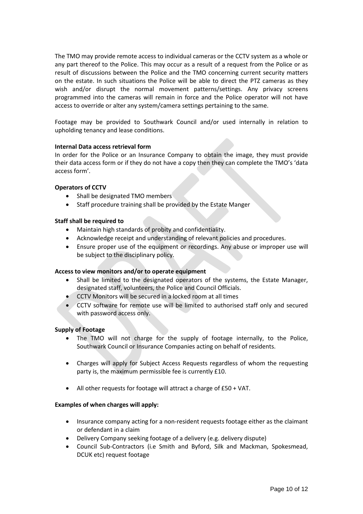The TMO may provide remote access to individual cameras or the CCTV system as a whole or any part thereof to the Police. This may occur as a result of a request from the Police or as result of discussions between the Police and the TMO concerning current security matters on the estate. In such situations the Police will be able to direct the PTZ cameras as they wish and/or disrupt the normal movement patterns/settings. Any privacy screens programmed into the cameras will remain in force and the Police operator will not have access to override or alter any system/camera settings pertaining to the same.

Footage may be provided to Southwark Council and/or used internally in relation to upholding tenancy and lease conditions.

## **Internal Data access retrieval form**

In order for the Police or an Insurance Company to obtain the image, they must provide their data access form or if they do not have a copy then they can complete the TMO's 'data access form'.

## **Operators of CCTV**

- Shall be designated TMO members
- Staff procedure training shall be provided by the Estate Manger

## **Staff shall be required to**

- Maintain high standards of probity and confidentiality.
- Acknowledge receipt and understanding of relevant policies and procedures.
- Ensure proper use of the equipment or recordings. Any abuse or improper use will be subject to the disciplinary policy.

#### **Access to view monitors and/or to operate equipment**

- Shall be limited to the designated operators of the systems, the Estate Manager, designated staff, volunteers, the Police and Council Officials.
- CCTV Monitors will be secured in a locked room at all times
- CCTV software for remote use will be limited to authorised staff only and secured with password access only.

#### **Supply of Footage**

- The TMO will not charge for the supply of footage internally, to the Police, Southwark Council or Insurance Companies acting on behalf of residents.
- Charges will apply for Subject Access Requests regardless of whom the requesting party is, the maximum permissible fee is currently £10.
- All other requests for footage will attract a charge of £50 + VAT.

#### **Examples of when charges will apply:**

- Insurance company acting for a non-resident requests footage either as the claimant or defendant in a claim
- Delivery Company seeking footage of a delivery (e.g. delivery dispute)
- Council Sub-Contractors (i.e Smith and Byford, Silk and Mackman, Spokesmead, DCUK etc) request footage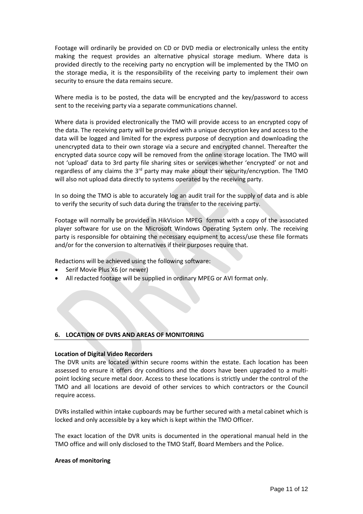Footage will ordinarily be provided on CD or DVD media or electronically unless the entity making the request provides an alternative physical storage medium. Where data is provided directly to the receiving party no encryption will be implemented by the TMO on the storage media, it is the responsibility of the receiving party to implement their own security to ensure the data remains secure.

Where media is to be posted, the data will be encrypted and the key/password to access sent to the receiving party via a separate communications channel.

Where data is provided electronically the TMO will provide access to an encrypted copy of the data. The receiving party will be provided with a unique decryption key and access to the data will be logged and limited for the express purpose of decryption and downloading the unencrypted data to their own storage via a secure and encrypted channel. Thereafter the encrypted data source copy will be removed from the online storage location. The TMO will not 'upload' data to 3rd party file sharing sites or services whether 'encrypted' or not and regardless of any claims the 3<sup>rd</sup> party may make about their security/encryption. The TMO will also not upload data directly to systems operated by the receiving party.

In so doing the TMO is able to accurately log an audit trail for the supply of data and is able to verify the security of such data during the transfer to the receiving party.

Footage will normally be provided in HikVision MPEG format with a copy of the associated player software for use on the Microsoft Windows Operating System only. The receiving party is responsible for obtaining the necessary equipment to access/use these file formats and/or for the conversion to alternatives if their purposes require that.

Redactions will be achieved using the following software:

- Serif Movie Plus X6 (or newer)
- All redacted footage will be supplied in ordinary MPEG or AVI format only.

#### **6. LOCATION OF DVRS AND AREAS OF MONITORING**

#### **Location of Digital Video Recorders**

The DVR units are located within secure rooms within the estate. Each location has been assessed to ensure it offers dry conditions and the doors have been upgraded to a multipoint locking secure metal door. Access to these locations is strictly under the control of the TMO and all locations are devoid of other services to which contractors or the Council require access.

DVRs installed within intake cupboards may be further secured with a metal cabinet which is locked and only accessible by a key which is kept within the TMO Officer.

The exact location of the DVR units is documented in the operational manual held in the TMO office and will only disclosed to the TMO Staff, Board Members and the Police.

#### **Areas of monitoring**